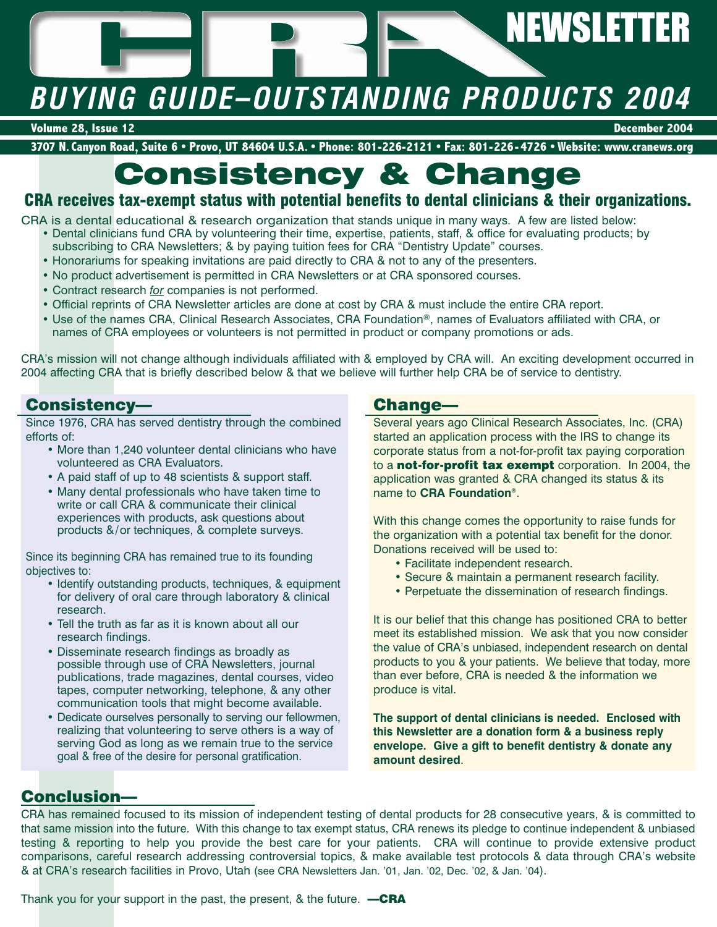# **NEWSLETTER**

# *BUYING GUIDE–OUTSTANDING PRODUCTS 2004*

**Volume 28, Issue 12 December 2004**

**3707 N. Canyon Road, Suite 6 • Provo, UT 84604 U.S.A. • Phone: 801-226-2121 • Fax: 801-226-4726 • Website: www.cranews.org**

# **Consistency & Change**

# **CRA receives tax-exempt status with potential benefits to dental clinicians & their organizations.**

- CRA is a dental educational & research organization that stands unique in many ways. A few are listed below: • Dental clinicians fund CRA by volunteering their time, expertise, patients, staff, & office for evaluating products; by subscribing to CRA Newsletters; & by paying tuition fees for CRA "Dentistry Update" courses.
	- Honorariums for speaking invitations are paid directly to CRA & not to any of the presenters.
	- No product advertisement is permitted in CRA Newsletters or at CRA sponsored courses.
	- Contract research *for* companies is not performed.
	- Official reprints of CRA Newsletter articles are done at cost by CRA & must include the entire CRA report.
	- Use of the names CRA, Clinical Research Associates, CRA Foundation®, names of Evaluators affiliated with CRA, or names of CRA employees or volunteers is not permitted in product or company promotions or ads.

CRA's mission will not change although individuals affiliated with & employed by CRA will. An exciting development occurred in 2004 affecting CRA that is briefly described below & that we believe will further help CRA be of service to dentistry.

# **Consistency—**

Since 1976, CRA has served dentistry through the combined efforts of:

- More than 1,240 volunteer dental clinicians who have volunteered as CRA Evaluators.
- A paid staff of up to 48 scientists & support staff.
- Many dental professionals who have taken time to write or call CRA & communicate their clinical experiences with products, ask questions about products &/or techniques, & complete surveys.

Since its beginning CRA has remained true to its founding objectives to:

- Identify outstanding products, techniques, & equipment for delivery of oral care through laboratory & clinical research.
- Tell the truth as far as it is known about all our research findings.
- Disseminate research findings as broadly as possible through use of CRA Newsletters, journal publications, trade magazines, dental courses, video tapes, computer networking, telephone, & any other communication tools that might become available.
- Dedicate ourselves personally to serving our fellowmen, realizing that volunteering to serve others is a way of serving God as long as we remain true to the service goal & free of the desire for personal gratification.

# **Change—**

Several years ago Clinical Research Associates, Inc. (CRA) started an application process with the IRS to change its corporate status from a not-for-profit tax paying corporation to a **not-for-profit tax exempt** corporation. In 2004, the application was granted & CRA changed its status & its name to **CRA Foundation®**.

With this change comes the opportunity to raise funds for the organization with a potential tax benefit for the donor. Donations received will be used to:

- Facilitate independent research.
- Secure & maintain a permanent research facility.
- Perpetuate the dissemination of research findings.

It is our belief that this change has positioned CRA to better meet its established mission. We ask that you now consider the value of CRA's unbiased, independent research on dental products to you & your patients. We believe that today, more than ever before, CRA is needed & the information we produce is vital.

**The support of dental clinicians is needed. Enclosed with this Newsletter are a donation form & a business reply envelope. Give a gift to benefit dentistry & donate any amount desired**.

# **Conclusion—**

CRA has remained focused to its mission of independent testing of dental products for 28 consecutive years, & is committed to that same mission into the future. With this change to tax exempt status, CRA renews its pledge to continue independent & unbiased testing & reporting to help you provide the best care for your patients. CRA will continue to provide extensive product comparisons, careful research addressing controversial topics, & make available test protocols & data through CRA's website & at CRA's research facilities in Provo, Utah (see CRA Newsletters Jan. '01, Jan. '02, Dec. '02, & Jan. '04).

Thank you for your support in the past, the present, & the future. **—CRA**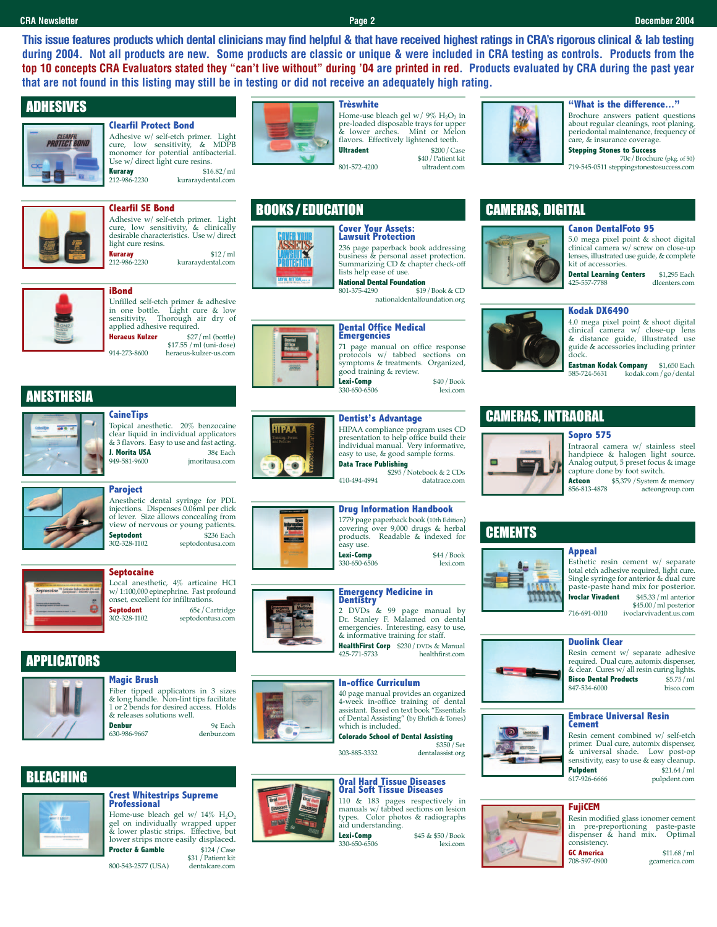**This issue features products which dental clinicians may find helpful & that have received highest ratings in CRA's rigorous clinical & lab testing during 2004. Not all products are new. Some products are classic or unique & were included in CRA testing as controls. Products from the top 10 concepts CRA Evaluators stated they "can't live without" during '04 are printed in red. Products evaluated by CRA during the past year that are not found in this listing may still be in testing or did not receive an adequately high rating.**

# **ADHESIVES**

## **Clearfil Protect Bond**



Adhesive w/ self-etch primer. Light<br>cure. low sensitivity. & MDPB sensitivity, & MDPB monomer for potential antibacterial. Use w/ direct light cure resins.

**Kuraray** \$16.82/ml kuraraydental.com



**Clearfil SE Bond** Adhesive w/ self-etch primer. Light cure, low sensitivity, & clinically desirable characteristics. Use w/direct light cure resins.

**Kuraray** \$12/ml<br>212-986-2230 kuraravdental.com kuraraydental.com



# **iBond**

Unfilled self-etch primer & adhesive<br>in one bottle. Light cure & low in one bottle. Light cure & low sensitivity. Thorough air dry of applied adhesive required. **Heraeus Kulzer** \$27/ml (bottle)

\$17.55 /ml (uni-dose) 914-273-8600 heraeus-kulzer-us.com

# ANESTHESIA



**CaineTips** Topical anesthetic. 20% benzocaine clear liquid in individual applicators & 3 flavors. Easy to use and fast acting. **J. Morita USA** 38¢ Each<br>949-581-9600 **imoritausa.com** imoritausa.com



# **Paroject**

Anesthetic dental syringe for PDL injections. Dispenses 0.06ml per click of lever. Size allows concealing from view of nervous or young patients.<br>**Septodont** \$236 Each **Septodont**<br>302-328-1102 septodontusa.com



# **Septocaine**

Local anesthetic, 4% articaine HCl w/1:100,000 epinephrine. Fast profound onset, excellent for infiltrations. **Septodont** 65¢/Cartridge<br>302-328-1102 septodontusa.com septodontusa.com

# **PPLICATORS**



BLEACHING

Fiber tipped applicators in 3 sizes & long handle. Non-lint tips facilitate 1 or 2 bends for desired access. Holds & releases solutions well. **Denbur** 9¢ Each<br>630-986-9667 denbur com denbur.com



# **Trèswhite**



Home-use bleach gel w/9% H<sub>2</sub>O<sub>2</sub> in<br>pre-loaded disposable trays for upper<br>& lower arches. Mint or Melon flavors. Effectively lightened teeth.<br>**Ultradent**  $$200/Cas$ \$200 / Case \$40/Patient kit 801-572-4200 ultradent.com



**"What is the difference..."**

Brochure answers patient questions about regular cleanings, root planing, periodontal maintenance, frequency of care, & insurance coverage. **Stepping Stones to Success**

70¢/Brochure (pkg. of 50) 719-545-0511 steppingstonestosuccess.com

# BOOKS / EDUCATION

# **JAY W. MT**

# **Cover Your Assets: Lawsuit Protection**

236 page paperback book addressing business & personal asset protection.

Summarizing CD & chapter check-off lists help ease of use. **National Dental Foundation**<br>801-375-4290 \$19 \$19 / Book & CD

nationaldentalfoundation.org



G

over<br>Adamstica<br>Anglica

# **Dental Office Medical Emergencies** 71 page manual on office response protocols w/ tabbed sections on

symptoms & treatments. Organized, good training & review. **Lexi-Comp** \$40 / Book<br>330-650-6506 lexi.com

# **Dentist's Advantage**

HIPAA compliance program uses CD presentation to help office build their individual manual. Very informative, easy to use, & good sample forms. **Data Trace Publishing**

\$295/Notebook & 2 CDs 410-494-4994 datatrace.com

**Drug Information Handbook** 1779 page paperback book (10th Edition) covering over 9,000 drugs & herbal products. Readable & indexed for easy use. **Lexi-Comp** \$44 / Book<br>330-650-6506 lexi.com 330-650-6506

# **Emergency Medicine in Dentistry**

2 DVDs & 99 page manual by  $\sum_{i=1}^{n}$   $\sum_{i=1}^{n}$   $\sum_{i=1}^{n}$   $\sum_{i=1}^{n}$   $\sum_{i=1}^{n}$   $\sum_{i=1}^{n}$   $\sum_{i=1}^{n}$   $\sum_{i=1}^{n}$   $\sum_{i=1}^{n}$   $\sum_{i=1}^{n}$   $\sum_{i=1}^{n}$   $\sum_{i=1}^{n}$   $\sum_{i=1}^{n}$   $\sum_{i=1}^{n}$   $\sum_{i=1}^{n}$   $\sum_{i=1}^{n}$   $\sum_{i=1}^{n}$  emergencies. Interesting, easy to use, & informative training for staff.

**HealthFirst Corp** \$230 / DVDs & Manual<br>425-771-5733 **healthfirst com** 425-771-5733 healthfirst.com

# **In-office Curriculum**

40 page manual provides an organized 4-week in-office training of dental assistant. Based on text book "Essentials of Dental Assisting" (by Ehrlich & Torres) which is included. **Colorado School of Dental Assisting**

303-885-3332 dentalassist.org

### **Oral Hard Tissue Diseases Oral Soft Tissue Diseases**

110 & 183 pages respectively in manuals w/ tabbed sections on lesion

 $330 - 650 - 6506$ 

CAMERAS, DIGITAL

## **Canon DentalFoto 95**



5.0 mega pixel point & shoot digital

clinical camera w/ screw on close-up lenses, illustrated use guide, & complete kit of accessories.

**Dental Learning Centers** \$1,295 Each<br>425-557-7788 dlcenters com dlcenters.com

# **Kodak DX6490**



4.0 mega pixel point & shoot digital<br>clinical camera  $w/$  close-up lens  $c$ amera w/ close-up lens & distance guide, illustrated use guide & accessories including printer dock.

**Eastman Kodak Company** \$1,650 Each<br>585-724-5631 kodak.com / *eo* / dental 585-724-5631 kodak.com/go/dental

# CAMERAS, INTRAORAL

# **Sopro 575**



Intraoral camera w/ stainless steel handpiece & halogen light source. Analog output, 5 preset focus & image capture done by foot switch.<br>Acteon \$5.379 / System &

**Acteon** \$5,379 / System & memory<br>856-813-4878 acteongroup.com acteongroup.com

# **CEMENTS**



**Appeal** Esthetic resin cement w/ separate

total etch adhesive required, light cure. Single syringe for anterior & dual cure paste-paste hand mix for posterior.<br>**lvoclar Vivadent** \$45.33 / ml anterior **Ivoclar Vivadent** \$45.33/ml anterior \$45.00/ml posterior 716-691-0010 ivoclarvivadent.us.com

# **Duolink Clear**



## **Embrace Universal Resin Cement**

Resin cement combined w/ self-etch primer. Dual cure, automix dispenser, & universal shade. Low post-op sensitivity, easy to use & easy cleanup.<br>**Pulpdent** \$21.64 / ml **Pulpdent**<br>617-926-6666 pulpdent.com

# **FujiCEM**



**GC America** \$11.68/ml<br>708-597-0900 *ocamerica* com gcamerica.com

types. Color photos & radiographs aid understanding. **Lexi-Comp** \$45 & \$50 / Book<br>330-650-6506 lexi.com

\$350/Set



# **Crest Whitestrips Supreme Professional**

Home-use bleach gel w/  $14\%$  H<sub>2</sub>O<sub>2</sub> gel on individually wrapped upper & lower plastic strips. Effective, but lower strips more easily displaced.<br>**Procter & Gamble**  $$124 / Case$ **Procter & Gamble** \$31/Patient kit 800-543-2577 (USA)

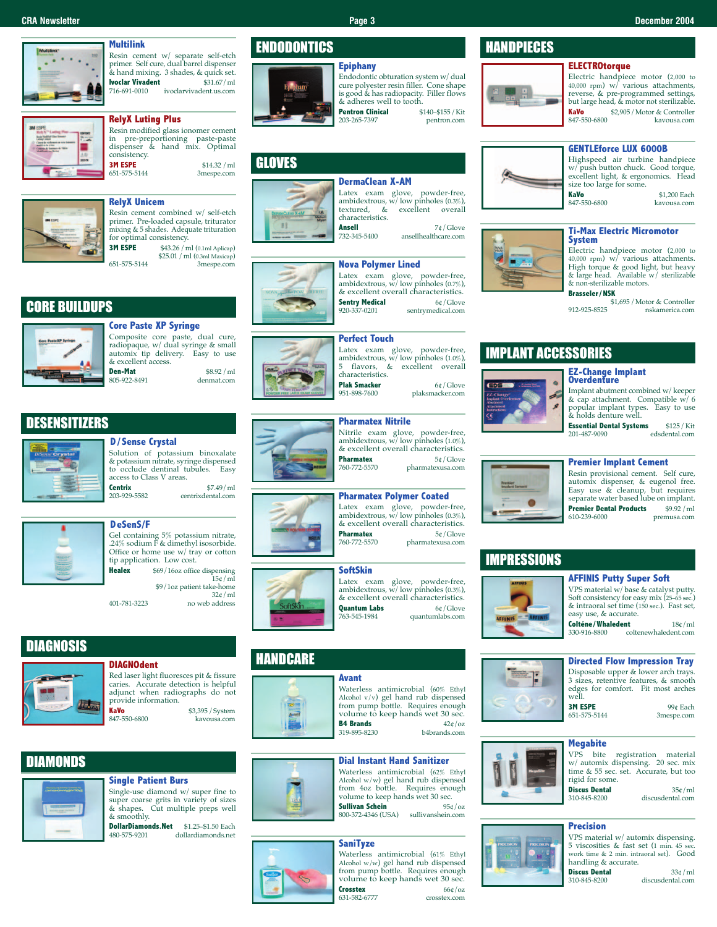# **Multilink**

Resin cement w/ separate self-etch primer. Self cure, dual barrel dispenser & hand mixing. 3 shades, & quick set. **Ivoclar Vivadent** \$31.67/ml<br>716-691-0010 ivoclaryivadent.us.com 716-691-0010 ivoclarvivadent.us.com

# **RelyX Luting Plus**

| Resin modified glass ionomer cement<br>in pre-preportioning paste-paste<br>dispenser & hand mix. Optimal<br>consistency. |  |                            |
|--------------------------------------------------------------------------------------------------------------------------|--|----------------------------|
| <b>3M ESPE</b><br>651-575-5144                                                                                           |  | \$14.32 / m1<br>3mespe.com |



Resin cement combined w/ self-etch primer. Pre-loaded capsule, triturator mixing & 5 shades. Adequate trituration for optimal consistency.<br>**3M ESPE**  $$43.26/m$ \$43.26 / ml (0.1ml Aplicap)

\$25.01 /ml (0.3ml Maxicap) 651-575-5144 3mespe.com

# CORE BUILDUPS



**Core Paste XP Syringe** Composite core paste, dual cure, radiopaque, w/ dual syringe & small automix tip delivery. Easy to use & excellent access.<br>**Den-Mat Den-Mat** \$8.92/ml 805-922-8491

# **DESENSITIZERS**

# **D/Sense Crystal**

Solution of potassium binoxalate & potassium nitrate, syringe dispensed to occlude dentinal tubules. Easy access to Class V areas. **Centrix** \$7.49/ml<br>203-929-5582 centrix dental com

centrixdental.com



# **DeSenS/F**

Gel containing 5% potassium nitrate, .24% sodium F & dimethyl isosorbide. Office or home use w/ tray or cotton tip application. Low cost.

**Healex** \$69/16oz office dispensing  $15c/ml$ \$9/1oz patient take-home 32¢/ml

401-781-3223 no web address

# **DIAGNOSIS**



# **DIAGNOdent** Red laser light fluoresces pit & fissure

adjunct when radiographs do not provide information. **KaVo** \$3,395 / System<br>847-550-6800 **b** kayousa com kavousa.com

# **DIAMONDS**

# **Single Patient Burs**

Single-use diamond w/ super fine to super coarse grits in variety of sizes & shapes. Cut multiple preps well & smoothly.

**DollarDiamonds.Net** \$1.25–\$1.50 Each<br>480-575-9201 dollardiamonds.net 480-575-9201 dollardiamonds.net

# **ENDODONTICS**

# **GLOVES**



# **DermaClean X-AM** Latex exam glove, powder-free, ambidextrous, w/low pinholes (0.3%), textured, & excellent overall

characteristics.<br>**Ansell Ansell**  $7¢$ /Glove<br>732-345-5400 ansellhealthcare.com ansellhealthcare.com

# **Nova Polymer Lined**



Latex exam glove, powder-free, ambidextrous, w/low pinholes (0.7%), & excellent overall characteristics.<br>**Sentry Medical** 60/Glove **Sentry Medical**<br>920-337-0201 sentrymedical.com

# **Perfect Touch**

5 flavors, & excellent overall **Plak Smacker** 6¢/Glove<br>951-898-7600 plaksmacker.com 951-898-7600 plaksmacker.com

# **Pharmatex Nitrile**



**HANDCARE** 

Nitrile exam glove, powder-free, ambidextrous,  $w/$  low pinholes (1.0%), & excellent overall characteristics.<br>**Pharmates**  $5e/Clove$ **Pharmatex** 5¢/Glove<br>760-772-5570 pharmatexusa.com 760-772-5570 pharmatexusa.com



**Pharmatex** 5¢/Glove<br>760-772-5570 pharmatexusa.com 760-772-5570 pharmatexusa.com



763-545-1984 quantumlabs.com



Alcohol v/v) gel hand rub dispensed from pump bottle. Requires enough volume to keep hands wet 30 sec. **B4 Brands**  $42¢/oz$ <br>319-895-8230 **b4brands.com** b4brands.com

**Dial Instant Hand Sanitizer** Waterless antimicrobial (62% Ethyl Alcohol w/w) gel hand rub dispensed from 4oz bottle. Requires enough volume to keep hands wet 30 sec.<br>**Sullivan Schein** 95¢/oz

800-372-4346 (USA) sullivanshein.com

Waterless antimicrobial (61% Ethyl Alcohol w/w) gel hand rub dispensed from pump bottle. Requires enough volume to keep hands wet 30 sec. **Crosstex** 66¢/oz<br>631-582-6777 crosstex.com

**Avant**

**Sullivan Schein** 

**SaniTyze**

631-582-6777 crosstex.com



**GENTLEforce LUX 6000B** Highspeed air turbine handpiece w/ push button chuck. Good torque, excellent light, & ergonomics. Head

kayousa.com

size too large for some. **KaVo** \$1,200 Each<br>847-550-6800 **Each**<br>kayousa com kavousa.com

**Ti-Max Electric Micromotor**

Electric handpiece motor (2,000 to 40,000 rpm) w/ various attachments. High torque & good light, but heavy & large head. Available w/ sterilizable & non-sterilizable motors.

**Brasseler/NSK** \$1,695 /Motor & Controller 912-925-8525 nskamerica.com

# IMPLANT ACCESSORIES



**EZ-Change Implant Overdenture** Implant abutment combined w/keeper

 $\&$  cap attachment. Compatible w/ 6<br>popular implant types. Easy to use popular implant types. Easy to use & holds denture well. **Essential Dental Systems** \$125/Kit 201-487-9090

201-487-9090 edsdental.com

# **Premier Implant Cement**

Resin provisional cement. Self cure, automix dispenser, & eugenol free. Easy use & cleanup, but requires separate water based lube on implant.<br>**Premier Dental Products** \$9.92 /ml **Premier Dental Products**<br>610-239-6000 premusa.com

# IMPRESSIONS



**AFFINIS Putty Super Soft**

VPS material w/base & catalyst putty. Soft consistency for easy mix (25–65 sec.) & intraoral set time (150 sec.). Fast set, easy use, & accurate.

**Colténe/Whaledent** 18¢/ml<br>330-916-8800 coltenewhaledent.com coltenewhaledent.com

# **Directed Flow Impression Tray**

Disposable upper & lower arch trays. 3 sizes, retentive features, & smooth edges for comfort. Fit most arches well.<br>2M ESDE

**3M ESPE** 99¢ Each<br>
651-575-5144 3mespe.com 3mespe.com

**Megabite**

### VPS bite registration material w/ automix dispensing. 20 sec. mix time & 55 sec. set. Accurate, but too rigid for some.

**Discus Dental** 35¢/ml<br>310-845-8200 discusdental com discusdental.com

# **Precision**







**ELECTROtorque**

# cure polyester resin filler. Cone shape is good & has radiopacity. Filler flows









# **CRA Newsletter Page 3 December 2004**





**Pentron Clinical** \$140–\$155 / Kit 203-265-7397 203-265-7397



Latex exam glove, powder-free, ambidextrous, w/ low pinholes (1.0%), characteristics.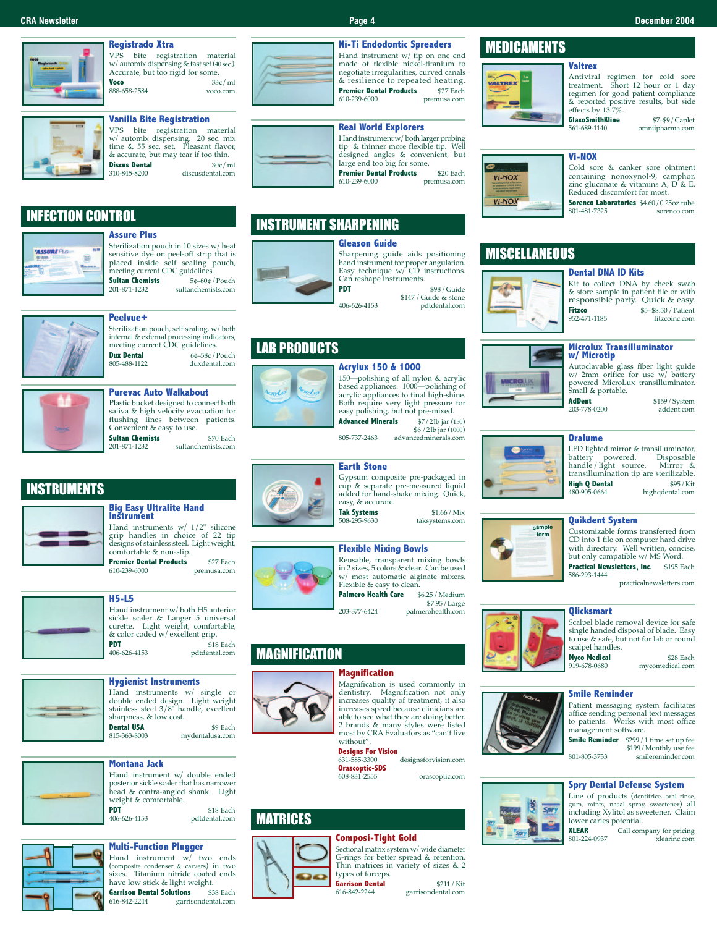# **Registrado Xtra**

VPS bite registration material w/automix dispensing & fast set (40 sec.). Accurate, but too rigid for some. **Voco** 33¢/ml<br>888-658-2584 voco.com ----<br>888-658-2584

# **Vanilla Bite Registration**

VPS bite registration material w/ automix dispensing. 20 sec. mix time & 55 sec. set. Pleasant flavor,  $\&$  accurate, but may tear if too thin.<br>**Discus Dental**  $30\& / \text{ml}$ **Discus Dental**<br>310-845-8200 discusdental.com

# INFECTION CONTROL



# **Assure Plus**

Sterilization pouch in 10 sizes w/heat sensitive dye on peel-off strip that is placed inside self sealing pouch, **Sultan Chemists**<br>201-871-1232

meeting current CDC guidelines.<br>**Sultan Chemists** 5¢–60¢/Pouch 201-871-1232 sultanchemists.com



# **Peelvue+**

Sterilization pouch, self sealing, w/both internal & external processing indicators, meeting current CDC guidelines. **Dux Dental** 6¢–58¢/Pouch<br>805–488-1122 duxdental com duxdental.com



# **Purevac Auto Walkabout** Plastic bucket designed to connect both

saliva & high velocity evacuation for<br>flushing lines between patients. lines between patients. Convenient & easy to use. **Sultan Chemists** \$70 Each<br>201-871-1232 sultanchemists.com 201-871-1232 sultanchemists.com

INSTRUMENTS

# **Big Easy Ultralite Hand Instrument**

Hand instruments w/ 1/2" silicone grip handles in choice of 22 tip designs of stainless steel. Light weight, comfortable & non-slip. **Premier Dental Products** \$27 Each<br>610-239-6000 premusa.com premusa.com

**H5-L5**<br>Hand instrument w/ both H5 anterior Hand instrument w/ both H5 anterior<br>sickle scaler & Langer 5 universal<br>curette. Light weight, comfortable,  $\&$  color coded w/ excellent grip.



**PDT** \$18 Each<br>406-626-4153 pdtdental.com 406-626-4153 pdtdental.com

**Hygienist Instruments**

Hand instruments w/ single or double ended design. Light weight stainless steel 3/8" handle, excellent sharpness, & low cost. **Dental USA** \$9 Each<br>815-363-8003 mydentalusa.com mydentalusa.com

**Montana Jack**

Hand instrument w/ double ended posterior sickle scaler that has narrower head & contra-angled shank. Light weight & comfortable.<br>**PDT PDT** \$18 Each<br>406-626-4153 pdtdental com pdtdental.com

# **Multi-Function Plugger** Hand instrument w/ two ends

(composite condenser & carvers) in two sizes. Titanium nitride coated ends have low stick & light weight.<br>**Garrison Dental Solutions** \$38 Each **Garrison Dental Solutions** 

616-842-2244 garrisondental.com



### **Ni-Ti Endodontic Spreaders** Hand instrument w/ tip on one end made of flexible nickel-titanium to negotiate irregularities, curved canals & resilience to repeated heating.<br>**Premier Dental Products** \$27 Fach **Premier Dental Products** 610-239-6000 premusa.com

# **Real World Explorers**

Hand instrument w/both larger probing tip & thinner more flexible tip. Well designed angles & convenient, but large end too big for some. **Premier Dental Products** \$20 Each 610-239-6000 premusa.com

INSTRUMENT SHARPENING

Sharpening guide aids positioning hand instrument for proper angulation. Easy technique w/ CD instructions. Can reshape instruments. **PDT** \$98/Guide

\$147 /Guide & stone 406-626-4153 pdtdental.com

# LAB PRODUCTS

# **Acrylux 150 & 1000** 150—polishing of all nylon & acrylic based appliances. 1000—polishing of acrylic appliances to final high-shine. Both require very light pressure for easy polishing, but not pre-mixed. **Advanced Minerals** \$7/2lb jar (150) \$6 /2lb jar (1000)

805-737-2463 advancedminerals.com

# **Earth Stone**



Gypsum composite pre-packaged in cup & separate pre-measured liquid added for hand-shake mixing. Quick, **Tak Systems** \$1.66 / Mix<br>508-295-9630 taksystems com taksystems.com



# Reusable, transparent mixing bowls in 2 sizes, 5 colors & clear. Can be used

w/ most automatic alginate mixers. Flexible & easy to clean. **Palmero Health Care** \$6.25/Medium \$7.95/Large 203-377-6424 palmerohealth.com

# **MAGNIFICATION**

# **Magnification**



dentistry. Magnification not only increases quality of treatment, it also increases speed because clinicians are able to see what they are doing better. 2 brands & many styles were listed most by CRA Evaluators as "can't live

Magnification is used commonly in

without". **Designs For Vision** designsforvision.com **Orascoptic-SDS** 

orascoptic.com

# MATRICES



**Composi-Tight Gold** Sectional matrix system w/wide diameter G-rings for better spread & retention. Thin matrices in variety of sizes & 2 types of forceps.

**Garrison Dental** \$211 / Kit garrisondental.com

# MEDICAMENTS



& reported positive results, but side **GlaxoSmithKline** \$7-\$9/Caplet<br>561-689-1140 omniipharma.com omniipharma.com

# **Vi-NOX**

effects by 13.7%.

**Valtrex**



Cold sore & canker sore ointment containing nonoxynol-9, camphor, zinc gluconate & vitamins A, D & E. Reduced discomfort for most. **Sorenco Laboratories** \$4.60/0.25oz tube<br>801-481-7325 sorenco com

Antiviral regimen for cold sore treatment. Short 12 hour or 1 day regimen for good patient compliance

sorenco.com

# **MISCELLANEOUS**

# **Dental DNA ID Kits**



Kit to collect DNA by cheek swab & store sample in patient file or with responsible party. Quick & easy. **Fitzco** \$5–\$8.50 / Patient 952-471-1185 fitzcoinc.com

# **Microlux Transilluminator w/ Microtip**

Autoclavable glass fiber light guide w/ 2mm orifice for use w/ battery powered MicroLux transilluminator. Small & portable.<br>**AdDent** 

203-778-0200 addent.com

\$169/System<br>addent.com

# **Oralume**



**sample form**

LED lighted mirror & transilluminator,<br>battery powered. Disposable battery powered. Disposable handle/light source. Mirror & transillumination tip are sterilizable.<br>**High 0 Dental**  $$95/Kit$$ **High Q Dental** 480-905-0664 highqdental.com

# **Quikdent System**

Customizable forms transferred from CD into 1 file on computer hard drive with directory. Well written, concise, but only compatible w/ MS Word. Practical Newsletters, Inc. \$195 Each 586-293-1444

practicalnewsletters.com

# **Qlicksmart**



**Myco Medical** \$28 Each<br>919-678-0680 mycomedical.com

mycomedical.com

# **Smile Reminder**

Patient messaging system facilitates office sending personal text messages to patients. Works with most office management software.

**Smile Reminder** \$299 / 1 time set up fee \$199/Monthly use fee 801-805-3733 smilereminder.com

**Spry Dental Defense System**

Line of products (dentifrice, oral rinse, gum, mints, nasal spray, sweetener) all including Xylitol as sweetener. Claim lower caries potential.<br>**XIFAR** Call com

**XLEAR** Call company for pricing<br>801-224-0937 xlearing com xlearinc.com

**CRA Newsletter Page 4 December 2004**

# **Gleason Guide**

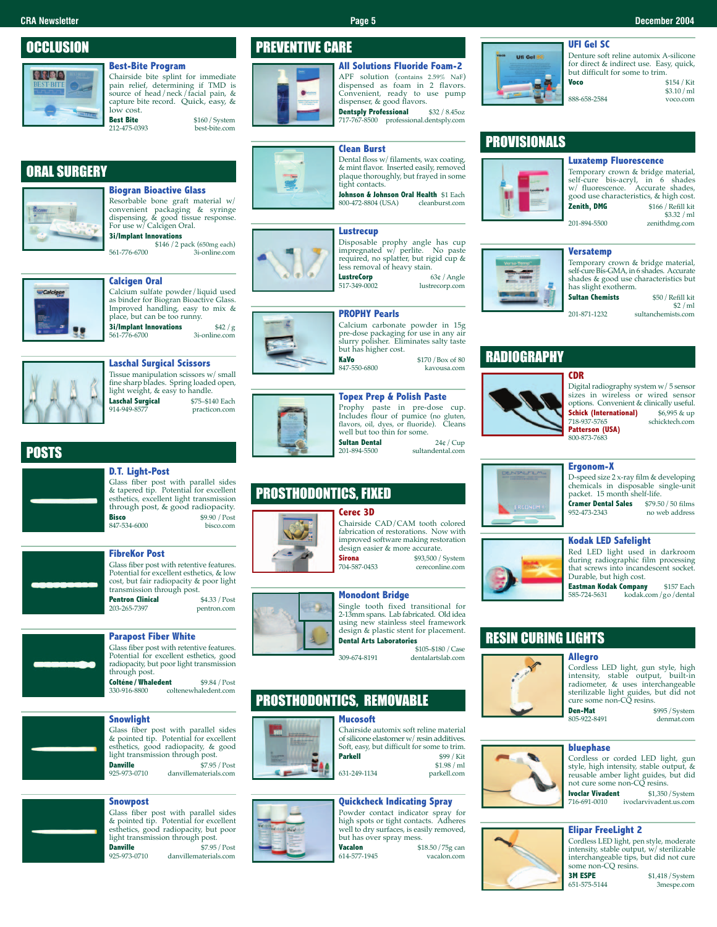# **CRA Newsletter Page 5 December 2004**

**OCCLUSION** 

# **Best-Bite Program**



# Chairside bite splint for immediate pain relief, determining if TMD is source of head/neck/facial pain, &

capture bite record. Quick, easy, &  $\overline{\text{lost}}$  cost.<br>Best Bite **Best Bite** \$160 / System<br>212-475-0393 best-bite com best-bite com

# ORAL SURGERY



# **Biogran Bioactive Glass**

Resorbable bone graft material w/ convenient packaging & syringe dispensing, & good tissue response. For use w/ Calcigen Oral. **3i/Implant Innovations**

\$146 /2 pack (650mg each) 561-776-6700 3i-online.com

# **Calcigen Oral**

Calcium sulfate powder/liquid used as binder for Biogran Bioactive Glass. Improved handling, easy to mix & place, but can be too runny. **3i/Implant Innovations** \$42 / g<br>561-776-6700 3i-online.com 3i-online.com



# POSTS

# **D.T. Light-Post**

Glass fiber post with parallel sides & tapered tip. Potential for excellent esthetics, excellent light transmission through post, & good radiopacity.<br>**Bisco** \$9.90 / Post **Bisco** \$9.90 /Post  $847 - 534 - 6000$ 

# **FibreKor Post**

Glass fiber post with retentive features. Potential for excellent esthetics, & low cost, but fair radiopacity & poor light transmission through post.<br>**Pentron Clinical** \$4.33 / Post **Pentron Clinical**<br>203-265-7397 pentron.com

# **Parapost Fiber White**

Glass fiber post with retentive features. Potential for excellent esthetics, good radiopacity, but poor light transmission through post.

**Colténe/Whaledent** \$9.84 / Post<br>330-916-8800 coltenewhaledent.com coltenewhaledent.com

# **Snowlight**

Glass fiber post with parallel sides & pointed tip. Potential for excellent esthetics, good radiopacity, & good light transmission through post. **Danville** \$7.95 /Post 925-973-0710 danvillematerials.com

# **Snowpost**

Glass fiber post with parallel sides & pointed tip. Potential for excellent esthetics, good radiopacity, but poor light transmission through post. **Danville** \$7.95 / Post<br>925-973-0710 danvillematerials.com 925-973-0710 danvillematerials.com

# PREVENTIVE CARE



**All Solutions Fluoride Foam-2** APF solution (contains 2.59% NaF) dispensed as foam in 2 flavors. Convenient, ready to use pump dispenser, & good flavors.

**Dentsply Professional** \$32 / 8.45oz<br>717-767-8500 professional.dentsply.com

# **Clean Burst**

Dental floss w/ filaments, wax coating, & mint flavor. Inserted easily, removed plaque thoroughly, but frayed in some tight contacts.

**Johnson & Johnson Oral Health** \$1 Each<br>800-472-8804 (USA) cleanburst.com 800-472-8804 (USA)

# **Lustrecup**



Disposable prophy angle has cup impregnated w/ perlite. No paste required, no splatter, but rigid cup & less removal of heavy stain. **LustreCorp** 63¢ / Angle<br>517-349-0002 lustrecorp.com

lustrecorp.com

# **PROPHY Pearls**



pre-dose packaging for use in any air slurry polisher. Eliminates salty taste but has higher cost. **KaVo** \$170/Box of 80<br>847-550-6800 kayousa.com 847-550-6800 kavousa.com



Prophy paste in pre-dose cup. Includes flour of pumice (no gluten, flavors, oil, dyes, or fluoride). Cleans well but too thin for some. **Sultan Dental** 24¢/ Cup<br>201.894.5500 extendental comsultandental.com

# PROSTHODONTICS, FIXED

# **Cerec 3D**



Chairside CAD/CAM tooth colored fabrication of restorations. Now with improved software making restoration design easier & more accurate.<br>**Sirona** \$93,500 / **Sirona** \$93,500 / System<br>704-587-0453 cereconline com cereconline.com

# **Monodont Bridge**



Single tooth fixed transitional for 2-13mm spans. Lab fabricated. Old idea using new stainless steel framework design & plastic stent for placement. **Dental Arts Laboratories**

\$105–\$180 /Case 309-674-8191 dentalartslab.com

# PROSTHODONTICS, REMOVABLE



**Mucosoft** Chairside automix soft reline material of silicone elastomer w/resin additives. Soft, easy, but difficult for some to trim.<br>**Parkell**  $$99/Kit$ **Parkell** \$99/Kit \$1.98 /ml 631-249-1134

# **Quickcheck Indicating Spray**

Powder contact indicator spray for high spots or tight contacts. Adheres well to dry surfaces, is easily removed, but has over spray mess.<br>Vacalon \$1 **Vacalon** \$18.50/75g can

614-577-1945



# PROVISIONALS



Temporary crown & bridge material, self-cure bis-acryl, in 6 shades w/ fluorescence. Accurate shades, good use characteristics, & high cost.<br>**Zenith.** DMG \$166 / Refill kit  $$166 / Refill kit$ \$3.32 /ml

# **Versatemp**

# shades & good use characteristics but has slight exotherm.

# RADIOGRAPHY



Digital radiography system w/5 sensor sizes in wireless or wired sensor options. Convenient & clinically useful.<br>**Schick (International)** \$6,995 & up **Schick (International)** \$6,995 & up<br>718-937-5765 schicktech.com 718-937-5765 schicktech.com **Patterson (USA)**

# **Ergonom-X**

D-speed size 2 x-ray film & developing chemicals in disposable single-unit packet. 15 month shelf-life. **Cramer Dental Sales** \$79.50 / 50 films<br>952-473-2343 no web address

no web address



# **Kodak LED Safelight**

Red LED light used in darkroom during radiographic film processing that screws into incandescent socket. Durable, but high cost.

**Eastman Kodak Company** \$157 Each<br>585-724-5631 kodak.com /go/dental 585-724-5631 kodak.com/go/dental

# RESIN CURING LIGHTS

# **Allegro**



Cordless LED light, gun style, high intensity, stable output, built-in radiometer, & uses interchangeable sterilizable light guides, but did not cure some non-CQ resins.

**Den-Mat** \$995/System<br>805-922-8491 denmat com denmat.com

# **bluephase**

Cordless or corded LED light, gun style, high intensity, stable output, & reusable amber light guides, but did not cure some non-CQ resins. **Ivoclar Vivadent** \$1,350 / System<br>716-691-0010 ivoclarvivadent.us.com

ivoclarvivadent.us.com

## **Elipar FreeLight 2** Cordless LED light, pen style, moderate



800-873-7683

Temporary crown & bridge material, self-cure Bis-GMA, in 6 shades. Accurate

**Sultan Chemists** \$50 / Refill kit

\$2 /ml 201-871-1232 sultanchemists.com





for direct & indirect use. Easy, quick, but difficult for some to trim. 888-658-2584 voco.com

**Voco** \$154 /Kit \$3.10/ml

**Luxatemp Fluorescence**





intensity, stable output, w/ sterilizable interchangeable tips, but did not cure some non-CQ resins.<br>**3M ESPE** \$1,418 / System<br>3mespe.com